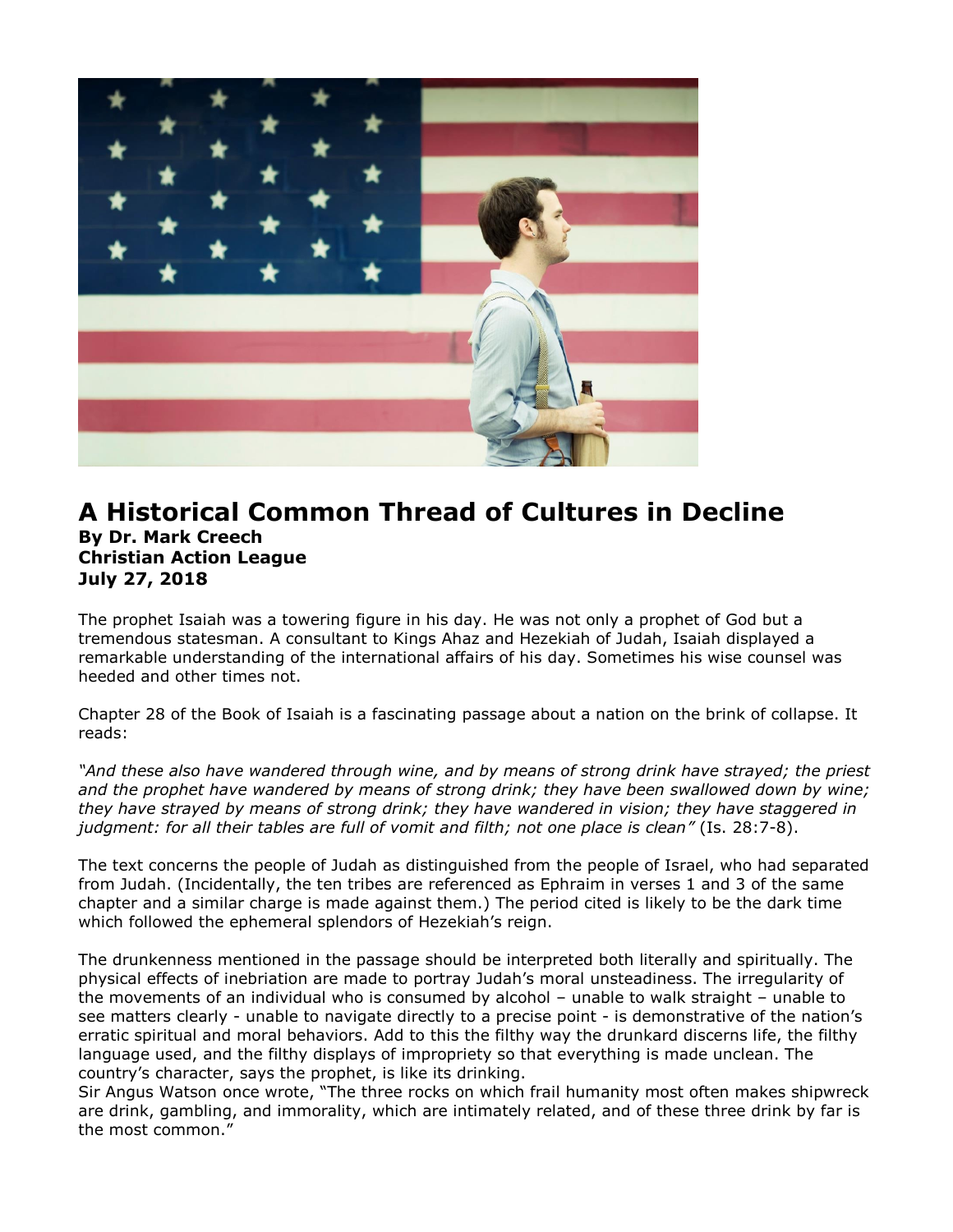

## **A Historical Common Thread of Cultures in Decline By Dr. Mark Creech Christian Action League July 27, 2018**

The prophet Isaiah was a towering figure in his day. He was not only a prophet of God but a tremendous statesman. A consultant to Kings Ahaz and Hezekiah of Judah, Isaiah displayed a remarkable understanding of the international affairs of his day. Sometimes his wise counsel was heeded and other times not.

Chapter 28 of the Book of Isaiah is a fascinating passage about a nation on the brink of collapse. It reads:

*"And these also have wandered through wine, and by means of strong drink have strayed; the priest and the prophet have wandered by means of strong drink; they have been swallowed down by wine; they have strayed by means of strong drink; they have wandered in vision; they have staggered in judgment: for all their tables are full of vomit and filth; not one place is clean"* (Is. 28:7-8).

The text concerns the people of Judah as distinguished from the people of Israel, who had separated from Judah. (Incidentally, the ten tribes are referenced as Ephraim in verses 1 and 3 of the same chapter and a similar charge is made against them.) The period cited is likely to be the dark time which followed the ephemeral splendors of Hezekiah's reign.

The drunkenness mentioned in the passage should be interpreted both literally and spiritually. The physical effects of inebriation are made to portray Judah's moral unsteadiness. The irregularity of the movements of an individual who is consumed by alcohol – unable to walk straight – unable to see matters clearly - unable to navigate directly to a precise point - is demonstrative of the nation's erratic spiritual and moral behaviors. Add to this the filthy way the drunkard discerns life, the filthy language used, and the filthy displays of impropriety so that everything is made unclean. The country's character, says the prophet, is like its drinking.

Sir Angus Watson once wrote, "The three rocks on which frail humanity most often makes shipwreck are drink, gambling, and immorality, which are intimately related, and of these three drink by far is the most common."